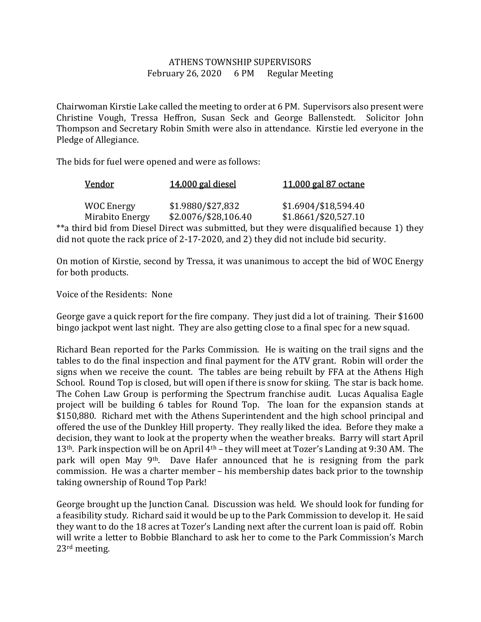## ATHENS TOWNSHIP SUPERVISORS February 26, 2020 6 PM Regular Meeting

Chairwoman Kirstie Lake called the meeting to order at 6 PM. Supervisors also present were Christine Vough, Tressa Heffron, Susan Seck and George Ballenstedt. Solicitor John Thompson and Secretary Robin Smith were also in attendance. Kirstie led everyone in the Pledge of Allegiance.

The bids for fuel were opened and were as follows:

| Vendor            | 14,000 gal diesel    | 11,000 gal 87 octane                                                                       |  |
|-------------------|----------------------|--------------------------------------------------------------------------------------------|--|
|                   |                      |                                                                                            |  |
| <b>WOC Energy</b> | \$1.9880/\$27,832    | \$1.6904/\$18,594.40                                                                       |  |
| Mirabito Energy   | \$2.0076/\$28,106.40 | $$1.8661$ /\$20,527.10                                                                     |  |
|                   |                      | **a third bid from Diesel Direct was submitted, but they were disqualified because 1) they |  |
|                   |                      | did not quote the rack price of 2-17-2020, and 2) they did not include bid security.       |  |

On motion of Kirstie, second by Tressa, it was unanimous to accept the bid of WOC Energy for both products.

Voice of the Residents: None

George gave a quick report for the fire company. They just did a lot of training. Their \$1600 bingo jackpot went last night. They are also getting close to a final spec for a new squad.

Richard Bean reported for the Parks Commission. He is waiting on the trail signs and the tables to do the final inspection and final payment for the ATV grant. Robin will order the signs when we receive the count. The tables are being rebuilt by FFA at the Athens High School. Round Top is closed, but will open if there is snow for skiing. The star is back home. The Cohen Law Group is performing the Spectrum franchise audit. Lucas Aqualisa Eagle project will be building 6 tables for Round Top. The loan for the expansion stands at \$150,880. Richard met with the Athens Superintendent and the high school principal and offered the use of the Dunkley Hill property. They really liked the idea. Before they make a decision, they want to look at the property when the weather breaks. Barry will start April 13<sup>th</sup>. Park inspection will be on April 4<sup>th</sup> – they will meet at Tozer's Landing at 9:30 AM. The park will open May 9<sup>th</sup>. Dave Hafer announced that he is resigning from the park commission. He was a charter member – his membership dates back prior to the township taking ownership of Round Top Park!

George brought up the Junction Canal. Discussion was held. We should look for funding for a feasibility study. Richard said it would be up to the Park Commission to develop it. He said they want to do the 18 acres at Tozer's Landing next after the current loan is paid off. Robin will write a letter to Bobbie Blanchard to ask her to come to the Park Commission's March 23rd meeting.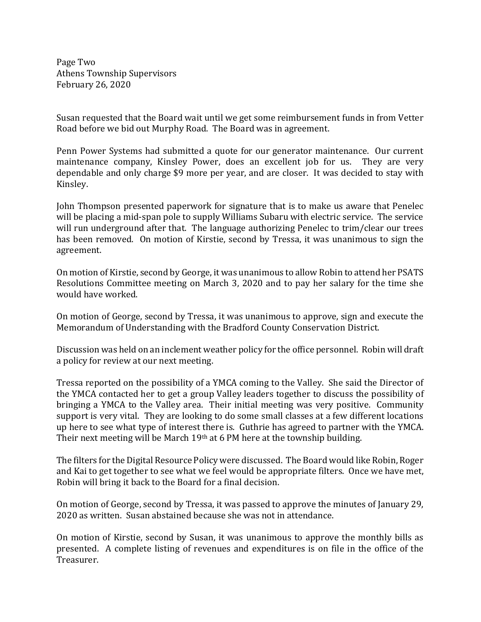Page Two Athens Township Supervisors February 26, 2020

Susan requested that the Board wait until we get some reimbursement funds in from Vetter Road before we bid out Murphy Road. The Board was in agreement.

Penn Power Systems had submitted a quote for our generator maintenance. Our current maintenance company, Kinsley Power, does an excellent job for us. They are very dependable and only charge \$9 more per year, and are closer. It was decided to stay with Kinsley.

John Thompson presented paperwork for signature that is to make us aware that Penelec will be placing a mid-span pole to supply Williams Subaru with electric service. The service will run underground after that. The language authorizing Penelec to trim/clear our trees has been removed. On motion of Kirstie, second by Tressa, it was unanimous to sign the agreement.

On motion of Kirstie, second by George, it was unanimous to allow Robin to attend her PSATS Resolutions Committee meeting on March 3, 2020 and to pay her salary for the time she would have worked.

On motion of George, second by Tressa, it was unanimous to approve, sign and execute the Memorandum of Understanding with the Bradford County Conservation District.

Discussion was held on an inclement weather policy for the office personnel. Robin will draft a policy for review at our next meeting.

Tressa reported on the possibility of a YMCA coming to the Valley. She said the Director of the YMCA contacted her to get a group Valley leaders together to discuss the possibility of bringing a YMCA to the Valley area. Their initial meeting was very positive. Community support is very vital. They are looking to do some small classes at a few different locations up here to see what type of interest there is. Guthrie has agreed to partner with the YMCA. Their next meeting will be March 19th at 6 PM here at the township building.

The filters for the Digital Resource Policy were discussed. The Board would like Robin, Roger and Kai to get together to see what we feel would be appropriate filters. Once we have met, Robin will bring it back to the Board for a final decision.

On motion of George, second by Tressa, it was passed to approve the minutes of January 29, 2020 as written. Susan abstained because she was not in attendance.

On motion of Kirstie, second by Susan, it was unanimous to approve the monthly bills as presented. A complete listing of revenues and expenditures is on file in the office of the Treasurer.